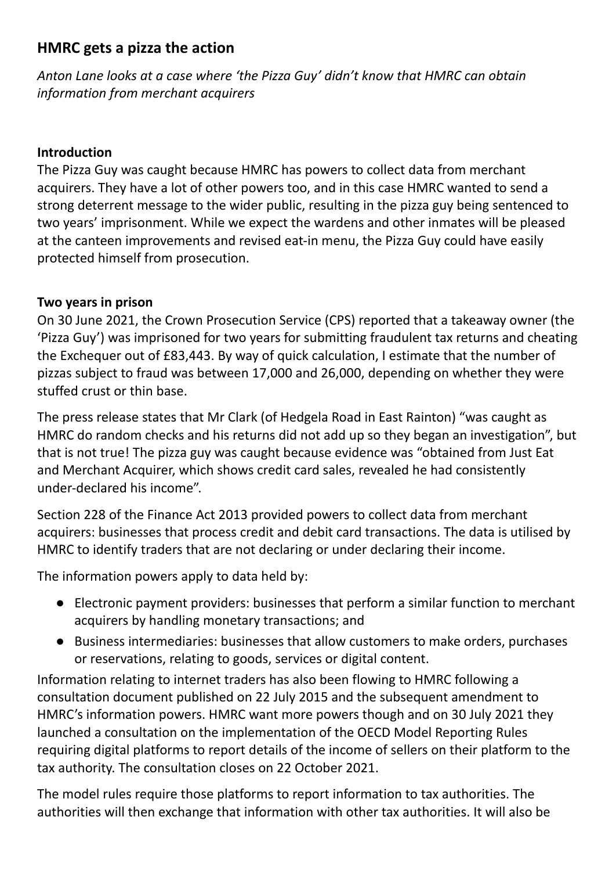## **HMRC gets a pizza the action**

*Anton Lane looks at a case where 'the Pizza Guy' didn't know that HMRC can obtain information from merchant acquirers*

## **Introduction**

The Pizza Guy was caught because HMRC has powers to collect data from merchant acquirers. They have a lot of other powers too, and in this case HMRC wanted to send a strong deterrent message to the wider public, resulting in the pizza guy being sentenced to two years' imprisonment. While we expect the wardens and other inmates will be pleased at the canteen improvements and revised eat-in menu, the Pizza Guy could have easily protected himself from prosecution.

## **Two years in prison**

On 30 June 2021, the Crown Prosecution Service (CPS) reported that a takeaway owner (the 'Pizza Guy') was imprisoned for two years for submitting fraudulent tax returns and cheating the Exchequer out of £83,443. By way of quick calculation, I estimate that the number of pizzas subject to fraud was between 17,000 and 26,000, depending on whether they were stuffed crust or thin base.

The press release states that Mr Clark (of Hedgela Road in East Rainton) "was caught as HMRC do random checks and his returns did not add up so they began an investigation", but that is not true! The pizza guy was caught because evidence was "obtained from Just Eat and Merchant Acquirer, which shows credit card sales, revealed he had consistently under-declared his income".

Section 228 of the Finance Act 2013 provided powers to collect data from merchant acquirers: businesses that process credit and debit card transactions. The data is utilised by HMRC to identify traders that are not declaring or under declaring their income.

The information powers apply to data held by:

- Electronic payment providers: businesses that perform a similar function to merchant acquirers by handling monetary transactions; and
- Business intermediaries: businesses that allow customers to make orders, purchases or reservations, relating to goods, services or digital content.

Information relating to internet traders has also been flowing to HMRC following a consultation document published on 22 July 2015 and the subsequent amendment to HMRC's information powers. HMRC want more powers though and on 30 July 2021 they launched a consultation on the implementation of the OECD Model Reporting Rules requiring digital platforms to report details of the income of sellers on their platform to the tax authority. The consultation closes on 22 October 2021.

The model rules require those platforms to report information to tax authorities. The authorities will then exchange that information with other tax authorities. It will also be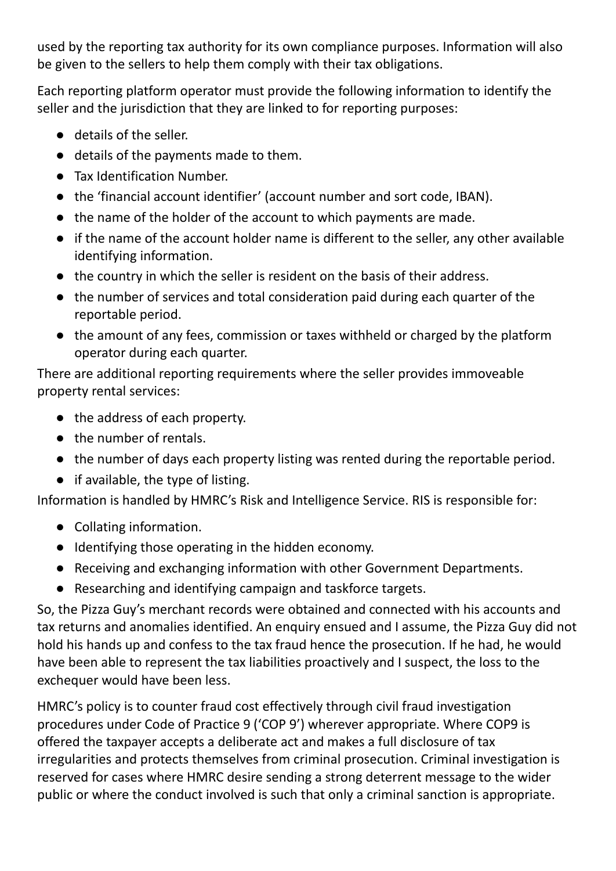used by the reporting tax authority for its own compliance purposes. Information will also be given to the sellers to help them comply with their tax obligations.

Each reporting platform operator must provide the following information to identify the seller and the jurisdiction that they are linked to for reporting purposes:

- details of the seller.
- details of the payments made to them.
- Tax Identification Number.
- the 'financial account identifier' (account number and sort code, IBAN).
- the name of the holder of the account to which payments are made.
- if the name of the account holder name is different to the seller, any other available identifying information.
- the country in which the seller is resident on the basis of their address.
- the number of services and total consideration paid during each quarter of the reportable period.
- the amount of any fees, commission or taxes withheld or charged by the platform operator during each quarter.

There are additional reporting requirements where the seller provides immoveable property rental services:

- the address of each property.
- the number of rentals.
- the number of days each property listing was rented during the reportable period.
- if available, the type of listing.

Information is handled by HMRC's Risk and Intelligence Service. RIS is responsible for:

- Collating information.
- Identifying those operating in the hidden economy.
- Receiving and exchanging information with other Government Departments.
- Researching and identifying campaign and taskforce targets.

So, the Pizza Guy's merchant records were obtained and connected with his accounts and tax returns and anomalies identified. An enquiry ensued and I assume, the Pizza Guy did not hold his hands up and confess to the tax fraud hence the prosecution. If he had, he would have been able to represent the tax liabilities proactively and I suspect, the loss to the exchequer would have been less.

HMRC's policy is to counter fraud cost effectively through civil fraud investigation procedures under Code of Practice 9 ('COP 9') wherever appropriate. Where COP9 is offered the taxpayer accepts a deliberate act and makes a full disclosure of tax irregularities and protects themselves from criminal prosecution. Criminal investigation is reserved for cases where HMRC desire sending a strong deterrent message to the wider public or where the conduct involved is such that only a criminal sanction is appropriate.